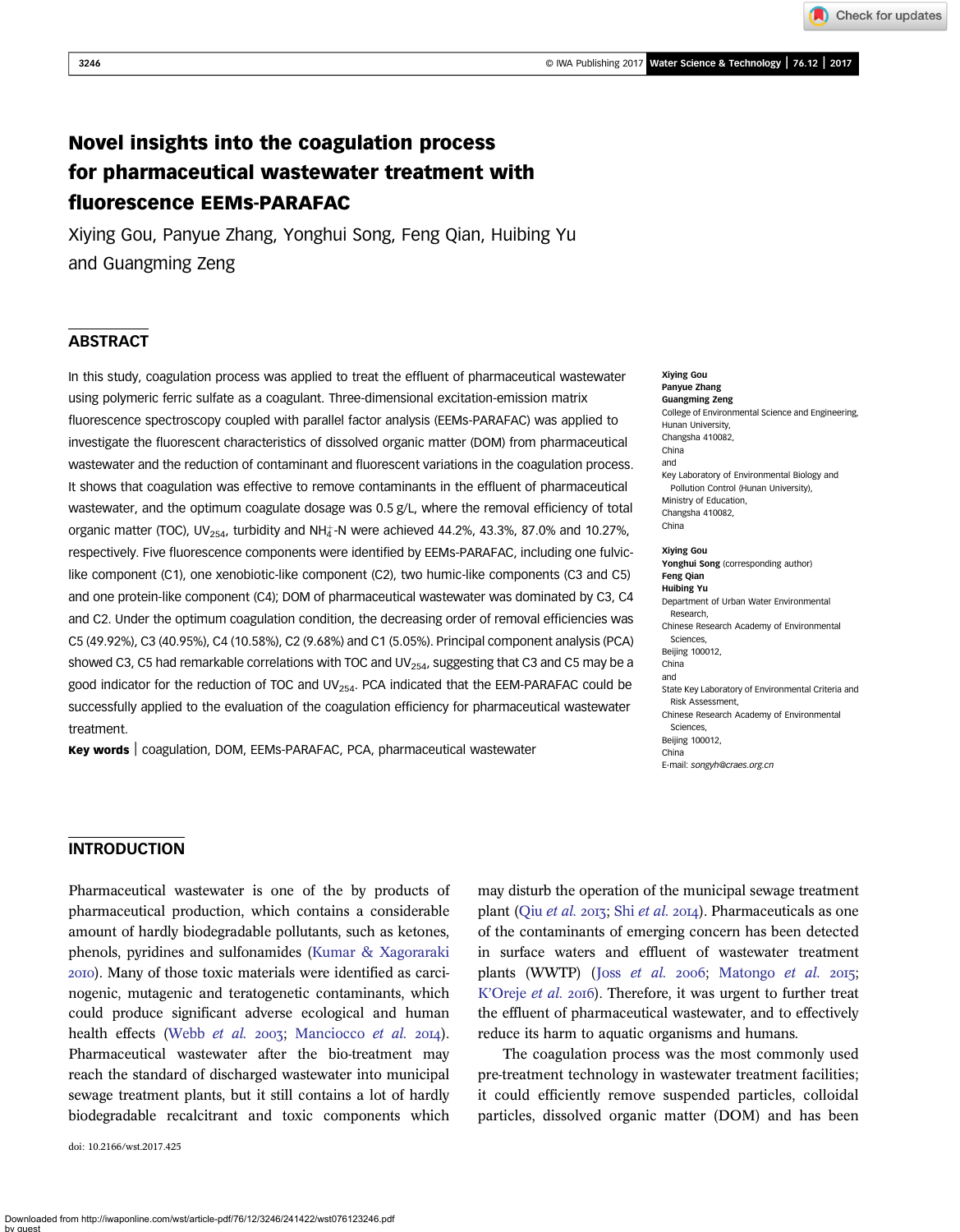Check for updates

# Novel insights into the coagulation process for pharmaceutical wastewater treatment with fluorescence EEMs-PARAFAC

Xiying Gou, Panyue Zhang, Yonghui Song, Feng Qian, Huibing Yu and Guangming Zeng

# **ABSTRACT**

In this study, coagulation process was applied to treat the effluent of pharmaceutical wastewater using polymeric ferric sulfate as a coagulant. Three-dimensional excitation-emission matrix fluorescence spectroscopy coupled with parallel factor analysis (EEMs-PARAFAC) was applied to investigate the fluorescent characteristics of dissolved organic matter (DOM) from pharmaceutical wastewater and the reduction of contaminant and fluorescent variations in the coagulation process. It shows that coagulation was effective to remove contaminants in the effluent of pharmaceutical wastewater, and the optimum coagulate dosage was  $0.5$  g/L, where the removal efficiency of total organic matter (TOC), UV<sub>254</sub>, turbidity and NH<sup> $_4$ </sup>-N were achieved 44.2%, 43.3%, 87.0% and 10.27%, respectively. Five fluorescence components were identified by EEMs-PARAFAC, including one fulviclike component (C1), one xenobiotic-like component (C2), two humic-like components (C3 and C5) and one protein-like component (C4); DOM of pharmaceutical wastewater was dominated by C3, C4 and C2. Under the optimum coagulation condition, the decreasing order of removal efficiencies was C5 (49.92%), C3 (40.95%), C4 (10.58%), C2 (9.68%) and C1 (5.05%). Principal component analysis (PCA) showed C3, C5 had remarkable correlations with TOC and UV $_{254}$ , suggesting that C3 and C5 may be a good indicator for the reduction of TOC and UV $_{254}$ . PCA indicated that the EEM-PARAFAC could be successfully applied to the evaluation of the coagulation efficiency for pharmaceutical wastewater treatment.

Key words | coagulation, DOM, EEMs-PARAFAC, PCA, pharmaceutical wastewater

Xiying Gou Panyue Zhang Guangming Zeng College of Environmental Science and Engineering, Hunan University, Changsha 410082, China and Key Laboratory of Environmental Biology and Pollution Control (Hunan University), Ministry of Education, Changsha 410082, China Xiying Gou Yonghui Song (corresponding author) Feng Qian

Huibing Yu Department of Urban Water Environmental Research, Chinese Research Academy of Environmental Sciences, Beijing 100012, China and State Key Laboratory of Environmental Criteria and Risk Assessment Chinese Research Academy of Environmental Sciences, Beijing 100012, China E-mail: [songyh@craes.org.cn](mailto:songyh@craes.org.cn)

# INTRODUCTION

Pharmaceutical wastewater is one of the by products of pharmaceutical production, which contains a considerable amount of hardly biodegradable pollutants, such as ketones, phenols, pyridines and sulfonamides [\(Kumar & Xagoraraki](#page-10-0) ). Many of those toxic materials were identified as carcinogenic, mutagenic and teratogenetic contaminants, which could produce significant adverse ecological and human health effects ([Webb](#page-11-0) et al. 2003; [Manciocco](#page-10-0) et al. 2014). Pharmaceutical wastewater after the bio-treatment may reach the standard of discharged wastewater into municipal sewage treatment plants, but it still contains a lot of hardly biodegradable recalcitrant and toxic components which

doi: 10.2166/wst.2017.425

may disturb the operation of the municipal sewage treatment plant (Oiu [et al.](#page-10-0) 2013; Shi et al. 2014). Pharmaceuticals as one of the contaminants of emerging concern has been detected in surface waters and effluent of wastewater treatment plants (WWTP) (Joss [et al.](#page-10-0) 2006; [Matongo](#page-10-0) et al. 2015; K'[Oreje](#page-10-0) et al. 2016). Therefore, it was urgent to further treat the effluent of pharmaceutical wastewater, and to effectively reduce its harm to aquatic organisms and humans.

The coagulation process was the most commonly used pre-treatment technology in wastewater treatment facilities; it could efficiently remove suspended particles, colloidal particles, dissolved organic matter (DOM) and has been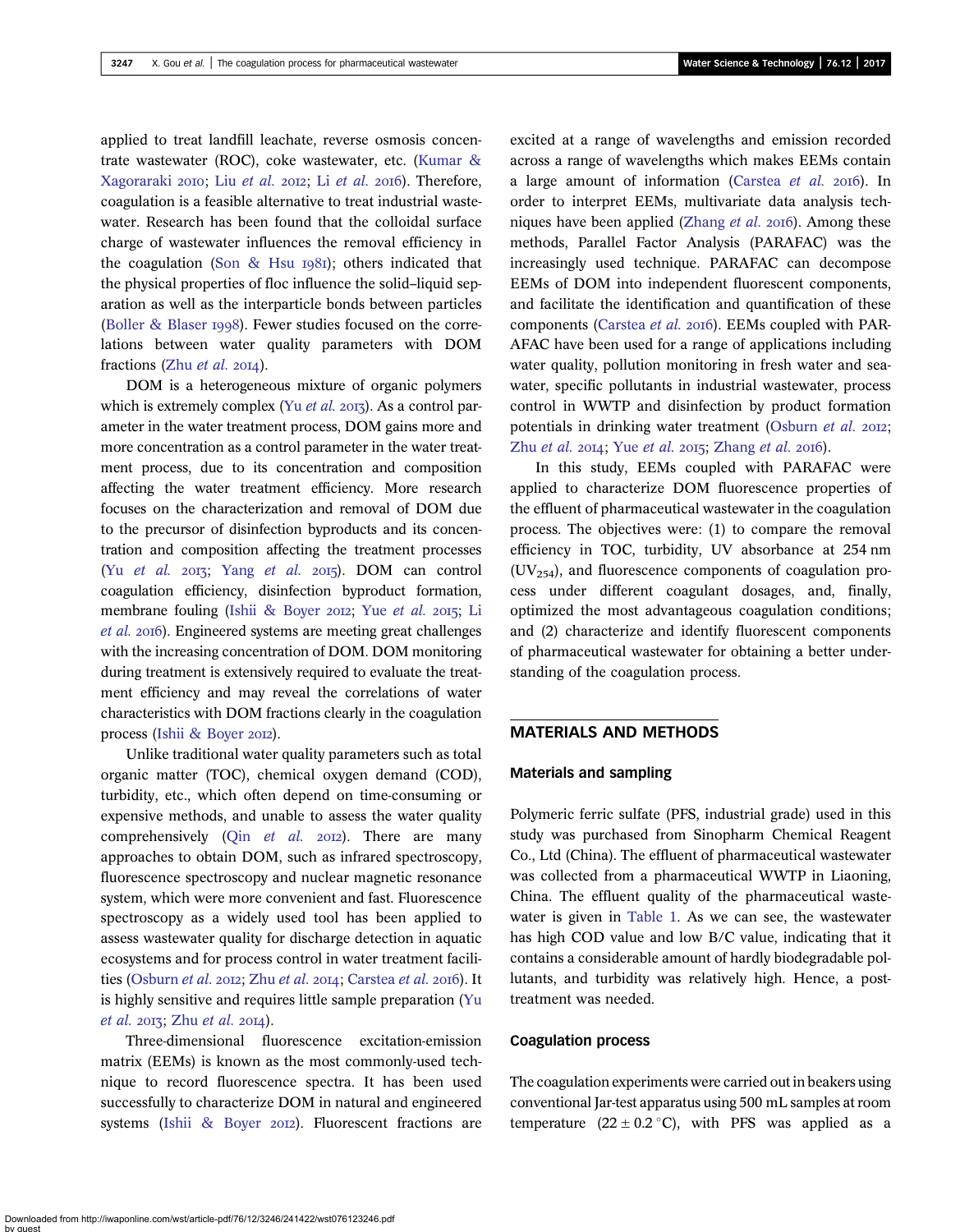applied to treat landfill leachate, reverse osmosis concentrate wastewater (ROC), coke wastewater, etc. [\(Kumar &](#page-10-0) [Xagoraraki](#page-10-0) 2010; Liu [et al.](#page-10-0) 2012; Li et al. 2016). Therefore, coagulation is a feasible alternative to treat industrial wastewater. Research has been found that the colloidal surface charge of wastewater influences the removal efficiency in the coagulation ([Son & Hsu](#page-11-0)  $1981$ ); others indicated that the physical properties of floc influence the solid–liquid separation as well as the interparticle bonds between particles [\(Boller & Blaser](#page-10-0) 1998). Fewer studies focused on the correlations between water quality parameters with DOM fractions (Zhu *[et al.](#page-11-0)* 2014).

DOM is a heterogeneous mixture of organic polymers which is extremely complex (Yu [et al.](#page-11-0) 2013). As a control parameter in the water treatment process, DOM gains more and more concentration as a control parameter in the water treatment process, due to its concentration and composition affecting the water treatment efficiency. More research focuses on the characterization and removal of DOM due to the precursor of disinfection byproducts and its concentration and composition affecting the treatment processes (Yu [et al.](#page-11-0)  $2013$ ; Yang et al.  $2015$ ). DOM can control coagulation efficiency, disinfection byproduct formation, membrane fouling ([Ishii & Boyer](#page-10-0) 2012; Yue *[et al.](#page-11-0)* 2015; [Li](#page-10-0) [et al.](#page-10-0) 2016). Engineered systems are meeting great challenges with the increasing concentration of DOM. DOM monitoring during treatment is extensively required to evaluate the treatment efficiency and may reveal the correlations of water characteristics with DOM fractions clearly in the coagulation process ([Ishii & Boyer](#page-10-0) 2012).

Unlike traditional water quality parameters such as total organic matter (TOC), chemical oxygen demand (COD), turbidity, etc., which often depend on time-consuming or expensive methods, and unable to assess the water quality comprehensively (Qin [et al.](#page-10-0)  $20I2$ ). There are many approaches to obtain DOM, such as infrared spectroscopy, fluorescence spectroscopy and nuclear magnetic resonance system, which were more convenient and fast. Fluorescence spectroscopy as a widely used tool has been applied to assess wastewater quality for discharge detection in aquatic ecosystems and for process control in water treatment facili-ties [\(Osburn](#page-10-0) [et al.](#page-11-0) 2012; Zhu et al. 2014; [Carstea](#page-10-0) et al. 2016). It is highly sensitive and requires little sample preparation [\(Yu](#page-11-0) [et al.](#page-11-0)  $2013$ ; Zhu et al.  $2014$ ).

Three-dimensional fluorescence excitation-emission matrix (EEMs) is known as the most commonly-used technique to record fluorescence spectra. It has been used successfully to characterize DOM in natural and engineered systems ([Ishii & Boyer](#page-10-0) 2012). Fluorescent fractions are

excited at a range of wavelengths and emission recorded across a range of wavelengths which makes EEMs contain a large amount of information ([Carstea](#page-10-0)  $et$   $al.$  2016). In order to interpret EEMs, multivariate data analysis tech-niques have been applied [\(Zhang](#page-11-0)  $et$  al. 2016). Among these methods, Parallel Factor Analysis (PARAFAC) was the increasingly used technique. PARAFAC can decompose EEMs of DOM into independent fluorescent components, and facilitate the identification and quantification of these components ([Carstea](#page-10-0) et al. 2016). EEMs coupled with PAR-AFAC have been used for a range of applications including water quality, pollution monitoring in fresh water and seawater, specific pollutants in industrial wastewater, process control in WWTP and disinfection by product formation potentials in drinking water treatment [\(Osburn](#page-10-0) et al. 2012; Zhu [et al.](#page-11-0)  $2014$ ; Yue et al.  $2015$ ; [Zhang](#page-11-0) et al.  $2016$ ).

In this study, EEMs coupled with PARAFAC were applied to characterize DOM fluorescence properties of the effluent of pharmaceutical wastewater in the coagulation process. The objectives were: (1) to compare the removal efficiency in TOC, turbidity, UV absorbance at 254 nm  $(UV_{254})$ , and fluorescence components of coagulation process under different coagulant dosages, and, finally, optimized the most advantageous coagulation conditions; and (2) characterize and identify fluorescent components of pharmaceutical wastewater for obtaining a better understanding of the coagulation process.

## MATERIALS AND METHODS

### Materials and sampling

Polymeric ferric sulfate (PFS, industrial grade) used in this study was purchased from Sinopharm Chemical Reagent Co., Ltd (China). The effluent of pharmaceutical wastewater was collected from a pharmaceutical WWTP in Liaoning, China. The effluent quality of the pharmaceutical wastewater is given in [Table 1](#page-2-0). As we can see, the wastewater has high COD value and low B/C value, indicating that it contains a considerable amount of hardly biodegradable pollutants, and turbidity was relatively high. Hence, a posttreatment was needed.

### Coagulation process

The coagulation experiments were carried out in beakers using conventional Jar-test apparatus using 500 mL samples at room temperature  $(22 \pm 0.2 \degree C)$ , with PFS was applied as a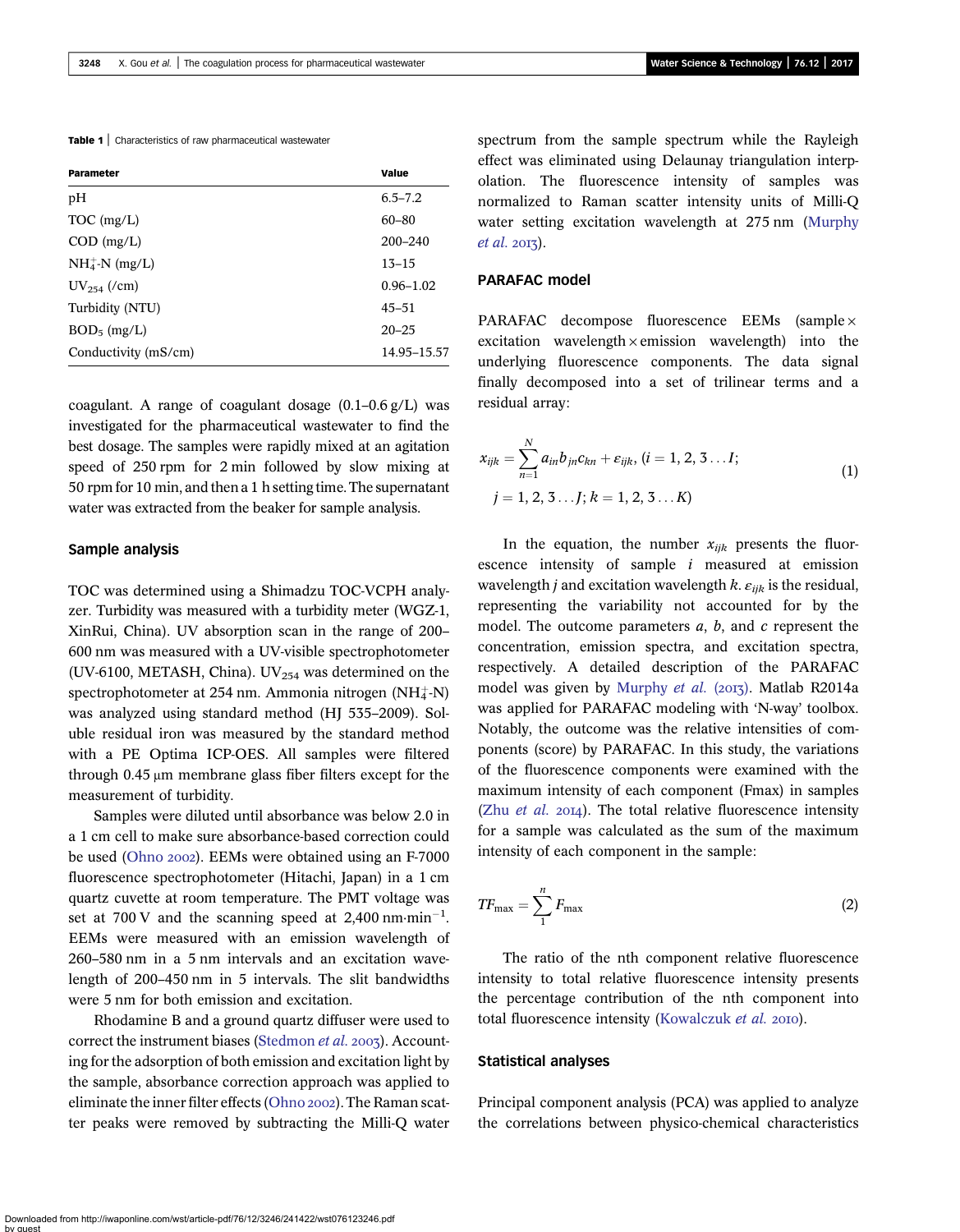<span id="page-2-0"></span>Table 1 | Characteristics of raw pharmaceutical wastewater

| <b>Parameter</b>     | Value         |
|----------------------|---------------|
| pН                   | $6.5 - 7.2$   |
| $TOC$ (mg/L)         | $60 - 80$     |
| $COD$ (mg/L)         | $200 - 240$   |
| $NH_4^+$ -N (mg/L)   | $13 - 15$     |
| $UV_{254}$ (/cm)     | $0.96 - 1.02$ |
| Turbidity (NTU)      | $45 - 51$     |
| $BOD_5$ (mg/L)       | $20 - 25$     |
| Conductivity (mS/cm) | 14.95–15.57   |

coagulant. A range of coagulant dosage  $(0.1-0.6 \frac{g}{L})$  was investigated for the pharmaceutical wastewater to find the best dosage. The samples were rapidly mixed at an agitation speed of 250 rpm for 2 min followed by slow mixing at 50 rpm for 10 min, and then a 1 h setting time. The supernatant water was extracted from the beaker for sample analysis.

#### Sample analysis

TOC was determined using a Shimadzu TOC-VCPH analyzer. Turbidity was measured with a turbidity meter (WGZ-1, XinRui, China). UV absorption scan in the range of 200– 600 nm was measured with a UV-visible spectrophotometer (UV-6100, METASH, China). UV $_{254}$  was determined on the  $s$ pectrophotometer at 254 nm. Ammonia nitrogen (NH $\ddagger$ -N) was analyzed using standard method (HJ 535–2009). Soluble residual iron was measured by the standard method with a PE Optima ICP-OES. All samples were filtered through 0.45 μm membrane glass fiber filters except for the measurement of turbidity.

Samples were diluted until absorbance was below 2.0 in a 1 cm cell to make sure absorbance-based correction could be used [\(Ohno](#page-10-0) 2002). EEMs were obtained using an F-7000 fluorescence spectrophotometer (Hitachi, Japan) in a 1 cm quartz cuvette at room temperature. The PMT voltage was set at 700 V and the scanning speed at 2,400 nm $\cdot$ min<sup>-1</sup>. EEMs were measured with an emission wavelength of 260–580 nm in a 5 nm intervals and an excitation wavelength of 200–450 nm in 5 intervals. The slit bandwidths were 5 nm for both emission and excitation.

Rhodamine B and a ground quartz diffuser were used to correct the instrument biases [\(Stedmon](#page-11-0) et al. 2003). Accounting for the adsorption of both emission and excitation light by the sample, absorbance correction approach was applied to eliminate the inner filter effects ([Ohno](#page-10-0) 2002). The Raman scatter peaks were removed by subtracting the Milli-Q water spectrum from the sample spectrum while the Rayleigh effect was eliminated using Delaunay triangulation interpolation. The fluorescence intensity of samples was normalized to Raman scatter intensity units of Milli-Q water setting excitation wavelength at 275 nm [\(Murphy](#page-10-0)  $et al. 2017$  $et al. 2017$ .

### PARAFAC model

PARAFAC decompose fluorescence EEMs (sample × excitation wavelength  $\times$  emission wavelength) into the underlying fluorescence components. The data signal finally decomposed into a set of trilinear terms and a residual array:

$$
x_{ijk} = \sum_{n=1}^{N} a_{in}b_{jn}c_{kn} + \varepsilon_{ijk}, (i = 1, 2, 3...I; j = 1, 2, 3...J; k = 1, 2, 3...K)
$$
 (1)

In the equation, the number  $x_{ijk}$  presents the fluorescence intensity of sample  $i$  measured at emission wavelength *j* and excitation wavelength *k*.  $\varepsilon_{ijk}$  is the residual, representing the variability not accounted for by the model. The outcome parameters  $a, b$ , and  $c$  represent the concentration, emission spectra, and excitation spectra, respectively. A detailed description of the PARAFAC model was given by [Murphy](#page-10-0) et al. (2013). Matlab R2014a was applied for PARAFAC modeling with 'N-way' toolbox. Notably, the outcome was the relative intensities of components (score) by PARAFAC. In this study, the variations of the fluorescence components were examined with the maximum intensity of each component (Fmax) in samples (Zhu *[et al.](#page-11-0)*  $2014$ ). The total relative fluorescence intensity for a sample was calculated as the sum of the maximum intensity of each component in the sample:

$$
TF_{\text{max}} = \sum_{1}^{n} F_{\text{max}} \tag{2}
$$

The ratio of the nth component relative fluorescence intensity to total relative fluorescence intensity presents the percentage contribution of the nth component into total fluorescence intensity ([Kowalczuk](#page-10-0) et al. 2010).

#### Statistical analyses

Principal component analysis (PCA) was applied to analyze the correlations between physico-chemical characteristics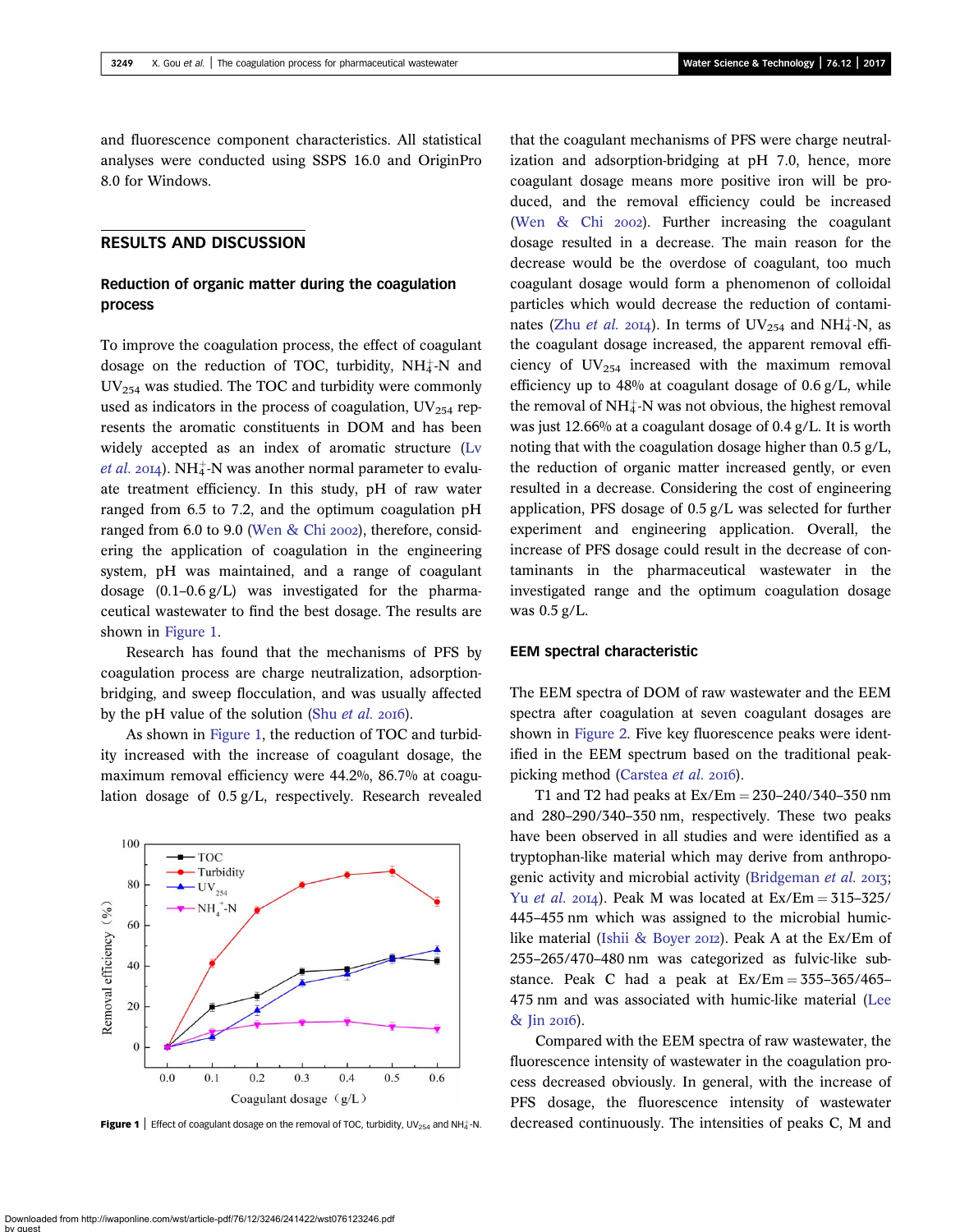<span id="page-3-0"></span>and fluorescence component characteristics. All statistical analyses were conducted using SSPS 16.0 and OriginPro 8.0 for Windows.

### RESULTS AND DISCUSSION

# Reduction of organic matter during the coagulation process

To improve the coagulation process, the effect of coagulant dosage on the reduction of TOC, turbidity,  $NH_4^+$ -N and  $UV_{254}$  was studied. The TOC and turbidity were commonly used as indicators in the process of coagulation,  $UV_{254}$  represents the aromatic constituents in DOM and has been widely accepted as an index of aromatic structure [\(Lv](#page-10-0) *[et al.](#page-10-0)* 2014). NH $_4^+$ -N was another normal parameter to evaluate treatment efficiency. In this study, pH of raw water ranged from 6.5 to 7.2, and the optimum coagulation pH ranged from 6.0 to 9.0 [\(Wen & Chi](#page-11-0) 2002), therefore, considering the application of coagulation in the engineering system, pH was maintained, and a range of coagulant dosage (0.1–0.6 g/L) was investigated for the pharmaceutical wastewater to find the best dosage. The results are shown in Figure 1.

Research has found that the mechanisms of PFS by coagulation process are charge neutralization, adsorptionbridging, and sweep flocculation, and was usually affected by the pH value of the solution (Shu *[et al.](#page-11-0)* 2016).

As shown in Figure 1, the reduction of TOC and turbidity increased with the increase of coagulant dosage, the maximum removal efficiency were 44.2%, 86.7% at coagulation dosage of 0.5 g/L, respectively. Research revealed



that the coagulant mechanisms of PFS were charge neutralization and adsorption-bridging at pH 7.0, hence, more coagulant dosage means more positive iron will be produced, and the removal efficiency could be increased (Wen  $\&$  Chi 2002). Further increasing the coagulant dosage resulted in a decrease. The main reason for the decrease would be the overdose of coagulant, too much coagulant dosage would form a phenomenon of colloidal particles which would decrease the reduction of contaminates (Zhu *[et al.](#page-11-0)* 2014). In terms of  $UV_{254}$  and  $NH_4^{\text{-}}N$ , as the coagulant dosage increased, the apparent removal efficiency of  $UV_{254}$  increased with the maximum removal efficiency up to 48% at coagulant dosage of 0.6 g/L, while the removal of  $NH_4^+$ -N was not obvious, the highest removal was just 12.66% at a coagulant dosage of 0.4 g/L. It is worth noting that with the coagulation dosage higher than 0.5 g/L, the reduction of organic matter increased gently, or even resulted in a decrease. Considering the cost of engineering application, PFS dosage of 0.5 g/L was selected for further experiment and engineering application. Overall, the increase of PFS dosage could result in the decrease of contaminants in the pharmaceutical wastewater in the investigated range and the optimum coagulation dosage was 0.5 g/L.

#### EEM spectral characteristic

The EEM spectra of DOM of raw wastewater and the EEM spectra after coagulation at seven coagulant dosages are shown in [Figure 2](#page-4-0). Five key fluorescence peaks were identified in the EEM spectrum based on the traditional peak-picking method ([Carstea](#page-10-0) et al. 2016).

T1 and T2 had peaks at  $Ex/Em = 230-240/340-350$  nm and 280–290/340–350 nm, respectively. These two peaks have been observed in all studies and were identified as a tryptophan-like material which may derive from anthropo-genic activity and microbial activity [\(Bridgeman](#page-10-0) et al. 2013; Yu [et al.](#page-11-0) 2014). Peak M was located at  $Ex/Em = 315-325/$ 445–455 nm which was assigned to the microbial humic-like material ([Ishii & Boyer](#page-10-0) 2012). Peak A at the Ex/Em of 255–265/470–480 nm was categorized as fulvic-like substance. Peak C had a peak at  $Ex/Em = 355-365/465-$ 475 nm and was associated with humic-like material [\(Lee](#page-10-0) [& Jin](#page-10-0) 2016).

Compared with the EEM spectra of raw wastewater, the fluorescence intensity of wastewater in the coagulation process decreased obviously. In general, with the increase of PFS dosage, the fluorescence intensity of wastewater Figure 1 | Effect of coagulant dosage on the removal of TOC, turbidity, UV<sub>254</sub> and NH<sub>4</sub>-N. decreased continuously. The intensities of peaks C, M and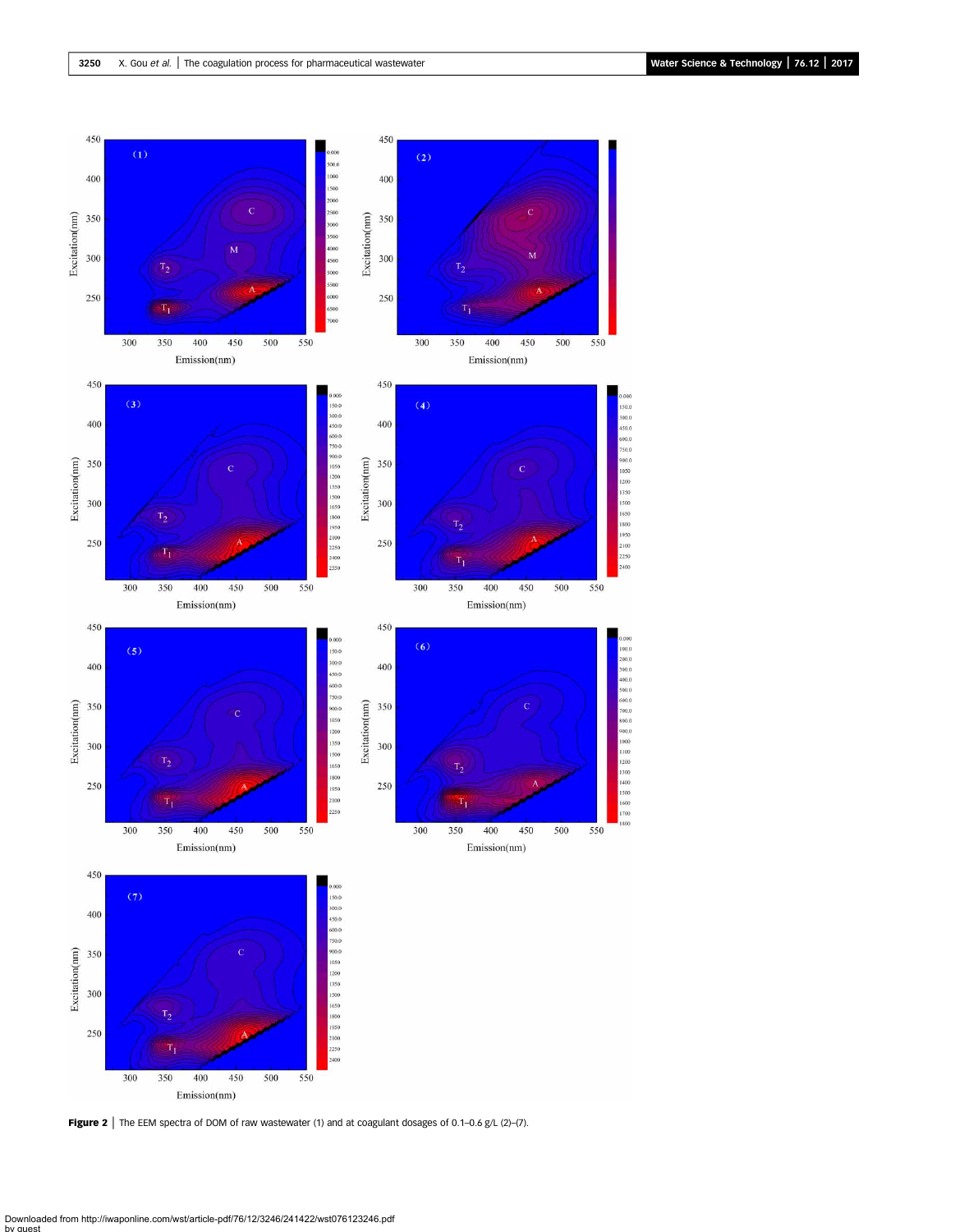<span id="page-4-0"></span>

Figure 2 | The EEM spectra of DOM of raw wastewater (1) and at coagulant dosages of 0.1-0.6 g/L (2)-(7).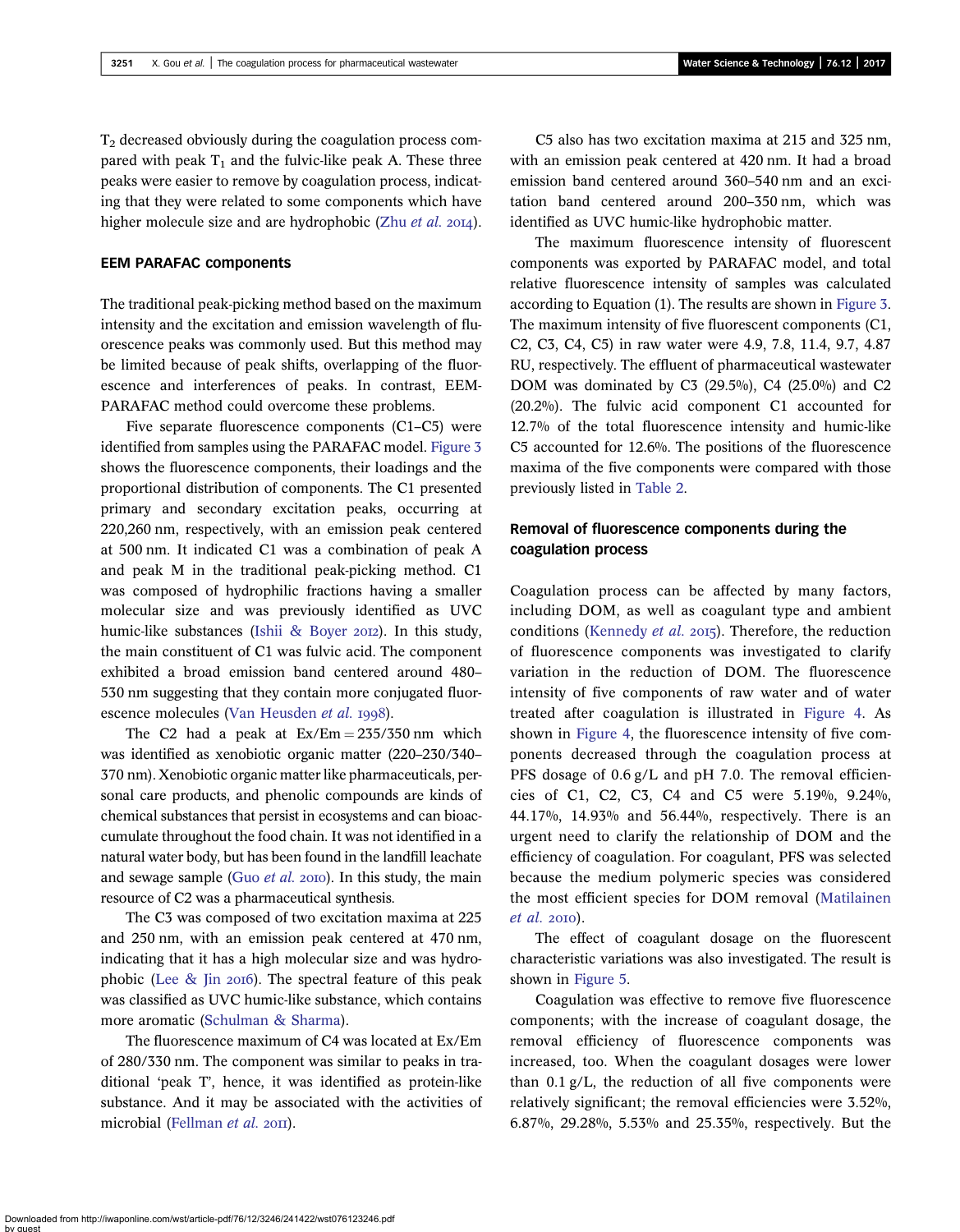$T_2$  decreased obviously during the coagulation process compared with peak  $T_1$  and the fulvic-like peak A. These three peaks were easier to remove by coagulation process, indicating that they were related to some components which have higher molecule size and are hydrophobic (Zhu [et al.](#page-11-0) 2014).

### EEM PARAFAC components

The traditional peak-picking method based on the maximum intensity and the excitation and emission wavelength of fluorescence peaks was commonly used. But this method may be limited because of peak shifts, overlapping of the fluorescence and interferences of peaks. In contrast, EEM-PARAFAC method could overcome these problems.

Five separate fluorescence components (C1–C5) were identified from samples using the PARAFAC model. [Figure 3](#page-6-0) shows the fluorescence components, their loadings and the proportional distribution of components. The C1 presented primary and secondary excitation peaks, occurring at 220,260 nm, respectively, with an emission peak centered at 500 nm. It indicated C1 was a combination of peak A and peak M in the traditional peak-picking method. C1 was composed of hydrophilic fractions having a smaller molecular size and was previously identified as UVC humic-like substances ([Ishii & Boyer](#page-10-0) 2012). In this study, the main constituent of C1 was fulvic acid. The component exhibited a broad emission band centered around 480– 530 nm suggesting that they contain more conjugated fluor-escence molecules [\(Van Heusden](#page-11-0) et al. 1998).

The C2 had a peak at  $Ex/Em = 235/350$  nm which was identified as xenobiotic organic matter (220–230/340– 370 nm). Xenobiotic organic matter like pharmaceuticals, personal care products, and phenolic compounds are kinds of chemical substances that persist in ecosystems and can bioaccumulate throughout the food chain. It was not identified in a natural water body, but has been found in the landfill leachate and sewage sample (Guo  $et$  al.  $20I0$ ). In this study, the main resource of C2 was a pharmaceutical synthesis.

The C3 was composed of two excitation maxima at 225 and 250 nm, with an emission peak centered at 470 nm, indicating that it has a high molecular size and was hydrophobic (Lee  $\&$  Jin 2016). The spectral feature of this peak was classified as UVC humic-like substance, which contains more aromatic ([Schulman & Sharma](#page-10-0)).

The fluorescence maximum of C4 was located at Ex/Em of 280/330 nm. The component was similar to peaks in traditional 'peak T', hence, it was identified as protein-like substance. And it may be associated with the activities of microbial ([Fellman](#page-10-0) et al. 2011).

C5 also has two excitation maxima at 215 and 325 nm, with an emission peak centered at 420 nm. It had a broad emission band centered around 360–540 nm and an excitation band centered around 200–350 nm, which was identified as UVC humic-like hydrophobic matter.

The maximum fluorescence intensity of fluorescent components was exported by PARAFAC model, and total relative fluorescence intensity of samples was calculated according to Equation (1). The results are shown in [Figure 3.](#page-6-0) The maximum intensity of five fluorescent components (C1, C2, C3, C4, C5) in raw water were 4.9, 7.8, 11.4, 9.7, 4.87 RU, respectively. The effluent of pharmaceutical wastewater DOM was dominated by C3 (29.5%), C4 (25.0%) and C2 (20.2%). The fulvic acid component C1 accounted for 12.7% of the total fluorescence intensity and humic-like C5 accounted for 12.6%. The positions of the fluorescence maxima of the five components were compared with those previously listed in [Table 2](#page-8-0).

# Removal of fluorescence components during the coagulation process

Coagulation process can be affected by many factors, including DOM, as well as coagulant type and ambient conditions [\(Kennedy](#page-10-0) et al. 2015). Therefore, the reduction of fluorescence components was investigated to clarify variation in the reduction of DOM. The fluorescence intensity of five components of raw water and of water treated after coagulation is illustrated in [Figure 4](#page-8-0). As shown in [Figure 4](#page-8-0), the fluorescence intensity of five components decreased through the coagulation process at PFS dosage of 0.6 g/L and pH 7.0. The removal efficiencies of C1, C2, C3, C4 and C5 were 5.19%, 9.24%, 44.17%, 14.93% and 56.44%, respectively. There is an urgent need to clarify the relationship of DOM and the efficiency of coagulation. For coagulant, PFS was selected because the medium polymeric species was considered the most efficient species for DOM removal ([Matilainen](#page-10-0)  $et$  al. 2010).

The effect of coagulant dosage on the fluorescent characteristic variations was also investigated. The result is shown in [Figure 5](#page-8-0).

Coagulation was effective to remove five fluorescence components; with the increase of coagulant dosage, the removal efficiency of fluorescence components was increased, too. When the coagulant dosages were lower than 0.1 g/L, the reduction of all five components were relatively significant; the removal efficiencies were 3.52%, 6.87%, 29.28%, 5.53% and 25.35%, respectively. But the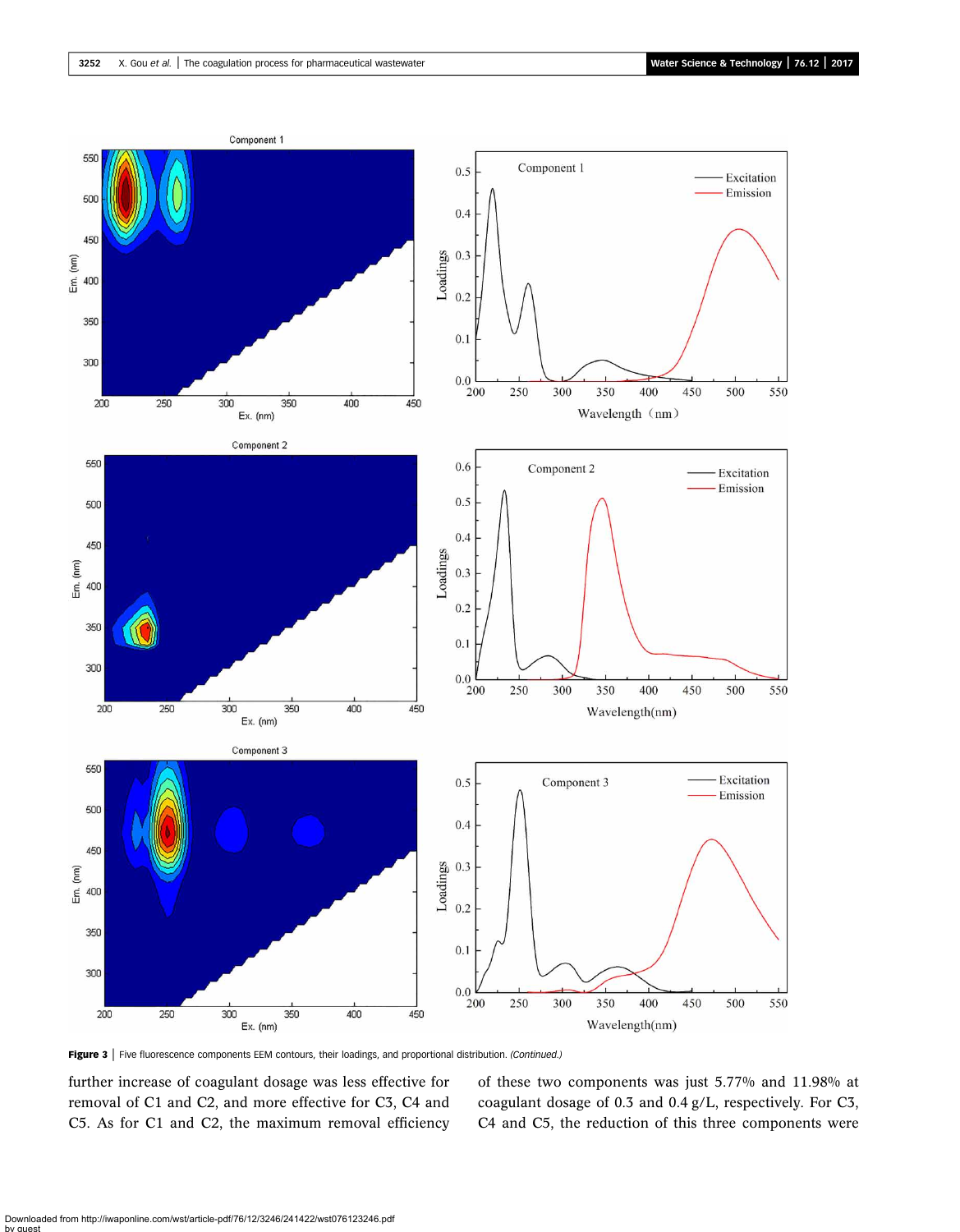<span id="page-6-0"></span>

Figure 3 | Five fluorescence components EEM contours, their loadings, and proportional distribution. (Continued.)

further increase of coagulant dosage was less effective for removal of C1 and C2, and more effective for C3, C4 and C5. As for C1 and C2, the maximum removal efficiency of these two components was just 5.77% and 11.98% at coagulant dosage of 0.3 and 0.4 g/L, respectively. For C3, C4 and C5, the reduction of this three components were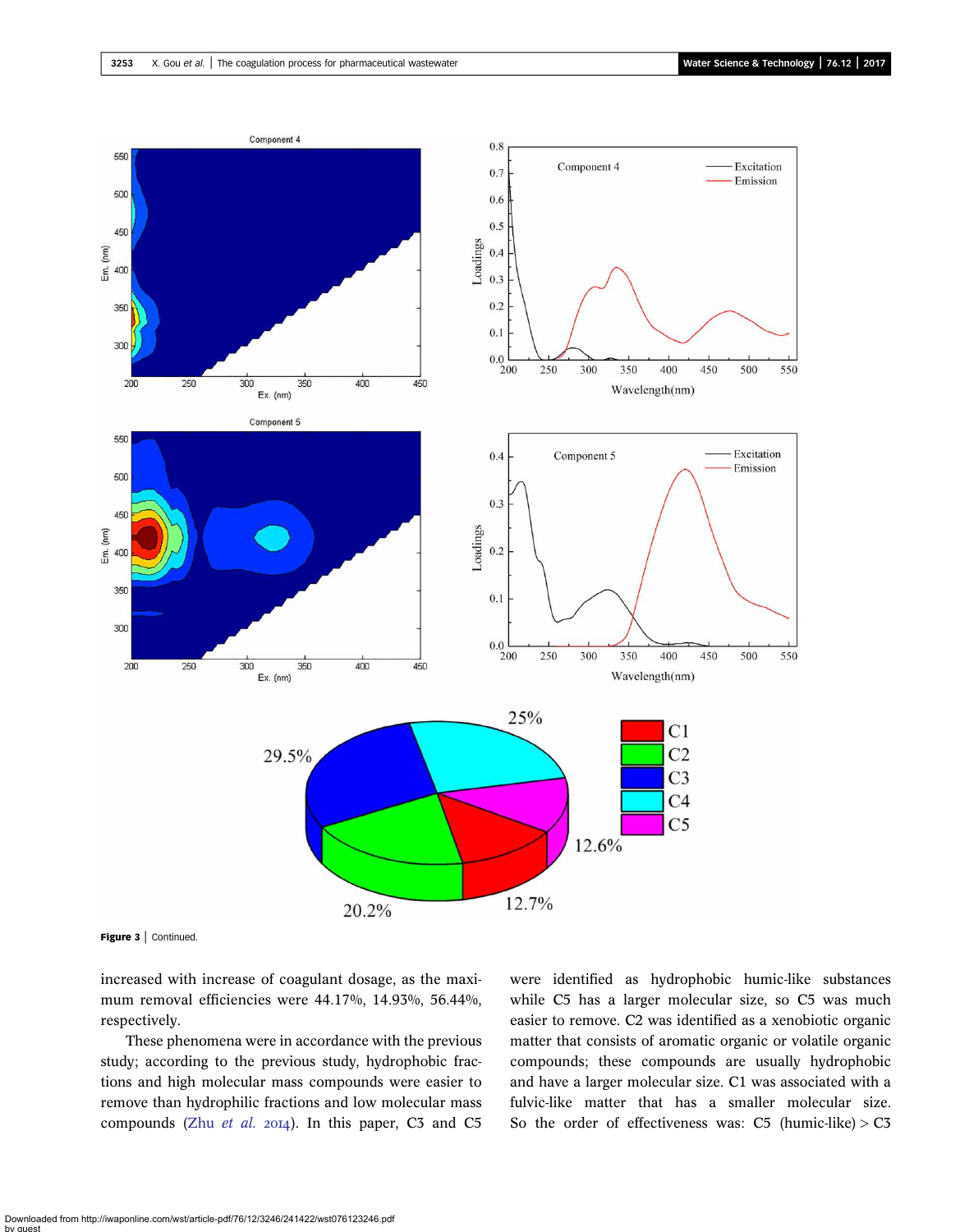

Figure 3 | Continued.

increased with increase of coagulant dosage, as the maximum removal efficiencies were 44.17%, 14.93%, 56.44%, respectively.

These phenomena were in accordance with the previous study; according to the previous study, hydrophobic fractions and high molecular mass compounds were easier to remove than hydrophilic fractions and low molecular mass compounds (Zhu [et al.](#page-11-0) 2014). In this paper, C3 and C5 were identified as hydrophobic humic-like substances while C5 has a larger molecular size, so C5 was much easier to remove. C2 was identified as a xenobiotic organic matter that consists of aromatic organic or volatile organic compounds; these compounds are usually hydrophobic and have a larger molecular size. C1 was associated with a fulvic-like matter that has a smaller molecular size. So the order of effectiveness was:  $C5$  (humic-like)  $> C3$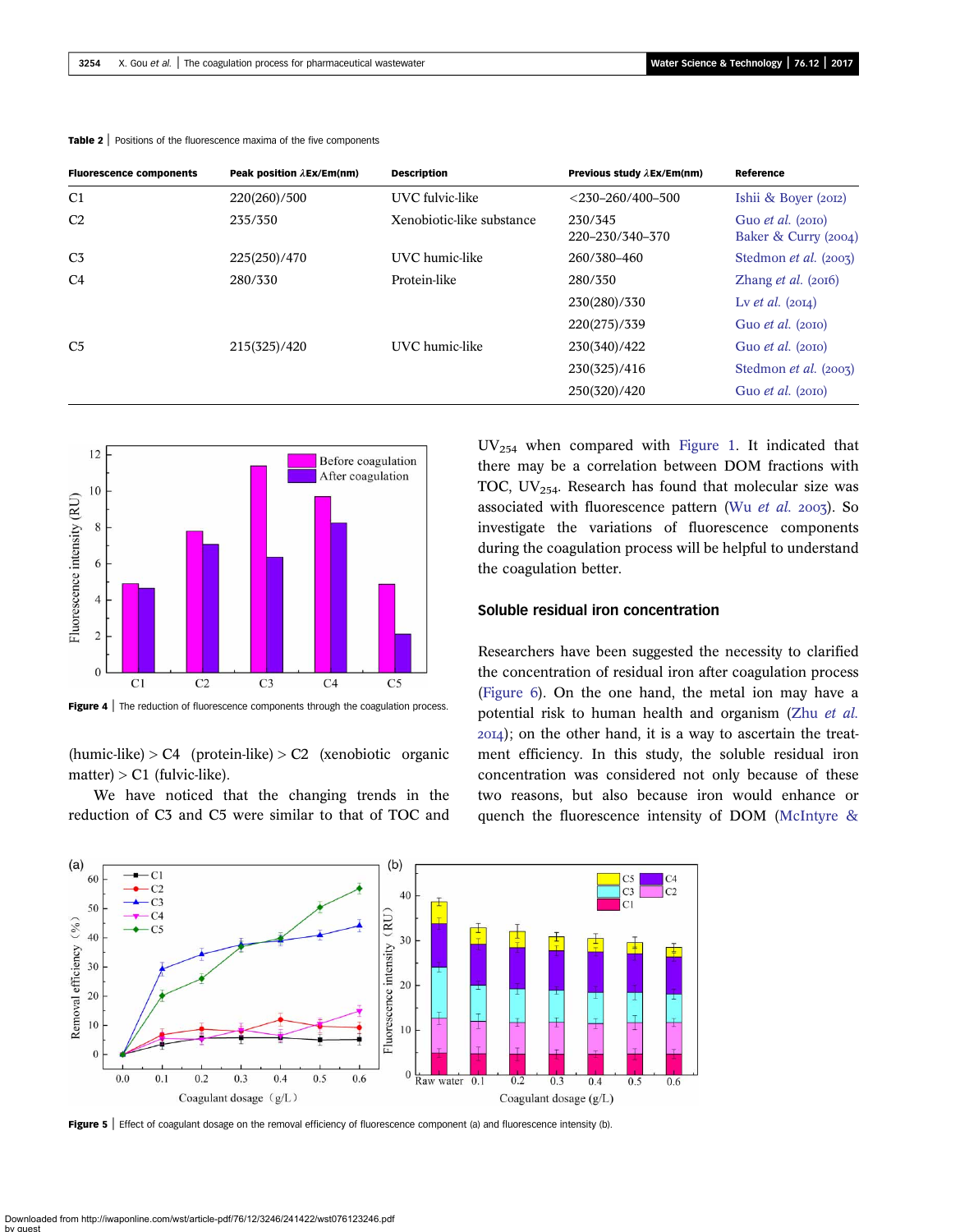| <b>Fluorescence components</b> | Peak position $\lambda$ Ex/Em(nm) | <b>Description</b>        | Previous study $\lambda$ Ex/Em(nm) | Reference                                          |
|--------------------------------|-----------------------------------|---------------------------|------------------------------------|----------------------------------------------------|
| C <sub>1</sub>                 | 220(260)/500                      | UVC fulvic-like           | $<$ 230-260/400-500                | Ishii & Boyer (2012)                               |
| C <sub>2</sub>                 | 235/350                           | Xenobiotic-like substance | 230/345<br>220-230/340-370         | Guo <i>et al.</i> $(2010)$<br>Baker & Curry (2004) |
| C <sub>3</sub>                 | 225(250)/470                      | UVC humic-like            | 260/380-460                        | Stedmon <i>et al.</i> (2003)                       |
| C <sub>4</sub>                 | 280/330                           | Protein-like              | 280/350                            | Zhang <i>et al.</i> $(2016)$                       |
|                                |                                   |                           | 230(280)/330                       | Ly et al. $(20I4)$                                 |
|                                |                                   |                           | 220(275)/339                       | Guo <i>et al.</i> $(20I0)$                         |
| C <sub>5</sub>                 | 215(325)/420                      | UVC humic-like            | 230(340)/422                       | Guo <i>et al.</i> $(20I0)$                         |
|                                |                                   |                           | 230(325)/416                       | Stedmon et al. (2003)                              |
|                                |                                   |                           | 250(320)/420                       | Guo <i>et al.</i> $(20I0)$                         |

<span id="page-8-0"></span>Table 2 | Positions of the fluorescence maxima of the five components



Figure 4 | The reduction of fluorescence components through the coagulation process.

 $(humic-like) > C4$  (protein-like)  $> C2$  (xenobiotic organic  $matter$  > C1 (fulvic-like).

We have noticed that the changing trends in the reduction of C3 and C5 were similar to that of TOC and UV254 when compared with [Figure 1](#page-3-0). It indicated that there may be a correlation between DOM fractions with TOC,  $UV_{254}$ . Research has found that molecular size was associated with fluorescence pattern (Wu [et al.](#page-11-0)  $2003$ ). So investigate the variations of fluorescence components during the coagulation process will be helpful to understand the coagulation better.

#### Soluble residual iron concentration

Researchers have been suggested the necessity to clarified the concentration of residual iron after coagulation process ([Figure 6\)](#page-9-0). On the one hand, the metal ion may have a potential risk to human health and organism (Zhu [et al.](#page-11-0) ); on the other hand, it is a way to ascertain the treatment efficiency. In this study, the soluble residual iron concentration was considered not only because of these two reasons, but also because iron would enhance or quench the fluorescence intensity of DOM ([McIntyre &](#page-10-0)



Figure 5 | Effect of coagulant dosage on the removal efficiency of fluorescence component (a) and fluorescence intensity (b).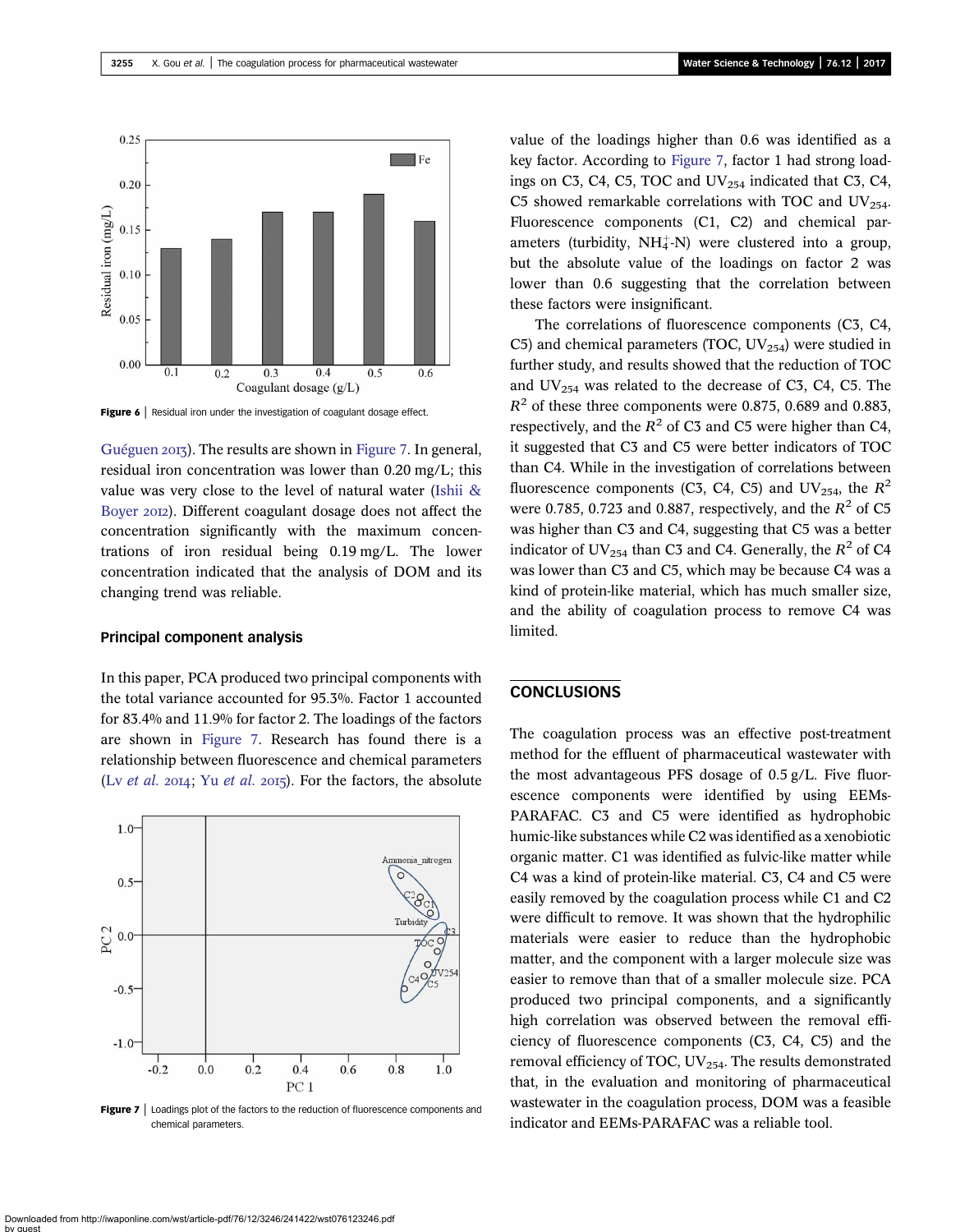<span id="page-9-0"></span>

Figure 6 | Residual iron under the investigation of coagulant dosage effect.

[Guéguen](#page-10-0) 2013). The results are shown in Figure 7. In general, residual iron concentration was lower than 0.20 mg/L; this value was very close to the level of natural water [\(Ishii &](#page-10-0) [Boyer](#page-10-0) 2012). Different coagulant dosage does not affect the concentration significantly with the maximum concentrations of iron residual being 0.19 mg/L. The lower concentration indicated that the analysis of DOM and its changing trend was reliable.

## Principal component analysis

In this paper, PCA produced two principal components with the total variance accounted for 95.3%. Factor 1 accounted for 83.4% and 11.9% for factor 2. The loadings of the factors are shown in Figure 7. Research has found there is a relationship between fluorescence and chemical parameters (Lv [et al.](#page-11-0) 2014; Yu et al. 2015). For the factors, the absolute



Figure 7 | Loadings plot of the factors to the reduction of fluorescence components and chemical parameters.

value of the loadings higher than 0.6 was identified as a key factor. According to Figure 7, factor 1 had strong loadings on C3, C4, C5, TOC and  $UV_{254}$  indicated that C3, C4, C5 showed remarkable correlations with TOC and  $UV_{254}$ . Fluorescence components (C1, C2) and chemical parameters (turbidity,  $NH_4^+$ -N) were clustered into a group, but the absolute value of the loadings on factor 2 was lower than 0.6 suggesting that the correlation between these factors were insignificant.

The correlations of fluorescence components (C3, C4, C5) and chemical parameters (TOC,  $UV_{254}$ ) were studied in further study, and results showed that the reduction of TOC and  $UV_{254}$  was related to the decrease of C3, C4, C5. The  $R<sup>2</sup>$  of these three components were 0.875, 0.689 and 0.883, respectively, and the  $R^2$  of C3 and C5 were higher than C4, it suggested that C3 and C5 were better indicators of TOC than C4. While in the investigation of correlations between fluorescence components (C3, C4, C5) and UV<sub>254</sub>, the  $R^2$ were 0.785, 0.723 and 0.887, respectively, and the  $R^2$  of C5 was higher than C3 and C4, suggesting that C5 was a better indicator of UV<sub>254</sub> than C3 and C4. Generally, the  $R^2$  of C4 was lower than C3 and C5, which may be because C4 was a kind of protein-like material, which has much smaller size, and the ability of coagulation process to remove C4 was limited.

# **CONCLUSIONS**

The coagulation process was an effective post-treatment method for the effluent of pharmaceutical wastewater with the most advantageous PFS dosage of 0.5 g/L. Five fluorescence components were identified by using EEMs-PARAFAC. C3 and C5 were identified as hydrophobic humic-like substances while C2 was identified as a xenobiotic organic matter. C1 was identified as fulvic-like matter while C4 was a kind of protein-like material. C3, C4 and C5 were easily removed by the coagulation process while C1 and C2 were difficult to remove. It was shown that the hydrophilic materials were easier to reduce than the hydrophobic matter, and the component with a larger molecule size was easier to remove than that of a smaller molecule size. PCA produced two principal components, and a significantly high correlation was observed between the removal efficiency of fluorescence components (C3, C4, C5) and the removal efficiency of TOC,  $UV_{254}$ . The results demonstrated that, in the evaluation and monitoring of pharmaceutical wastewater in the coagulation process, DOM was a feasible indicator and EEMs-PARAFAC was a reliable tool.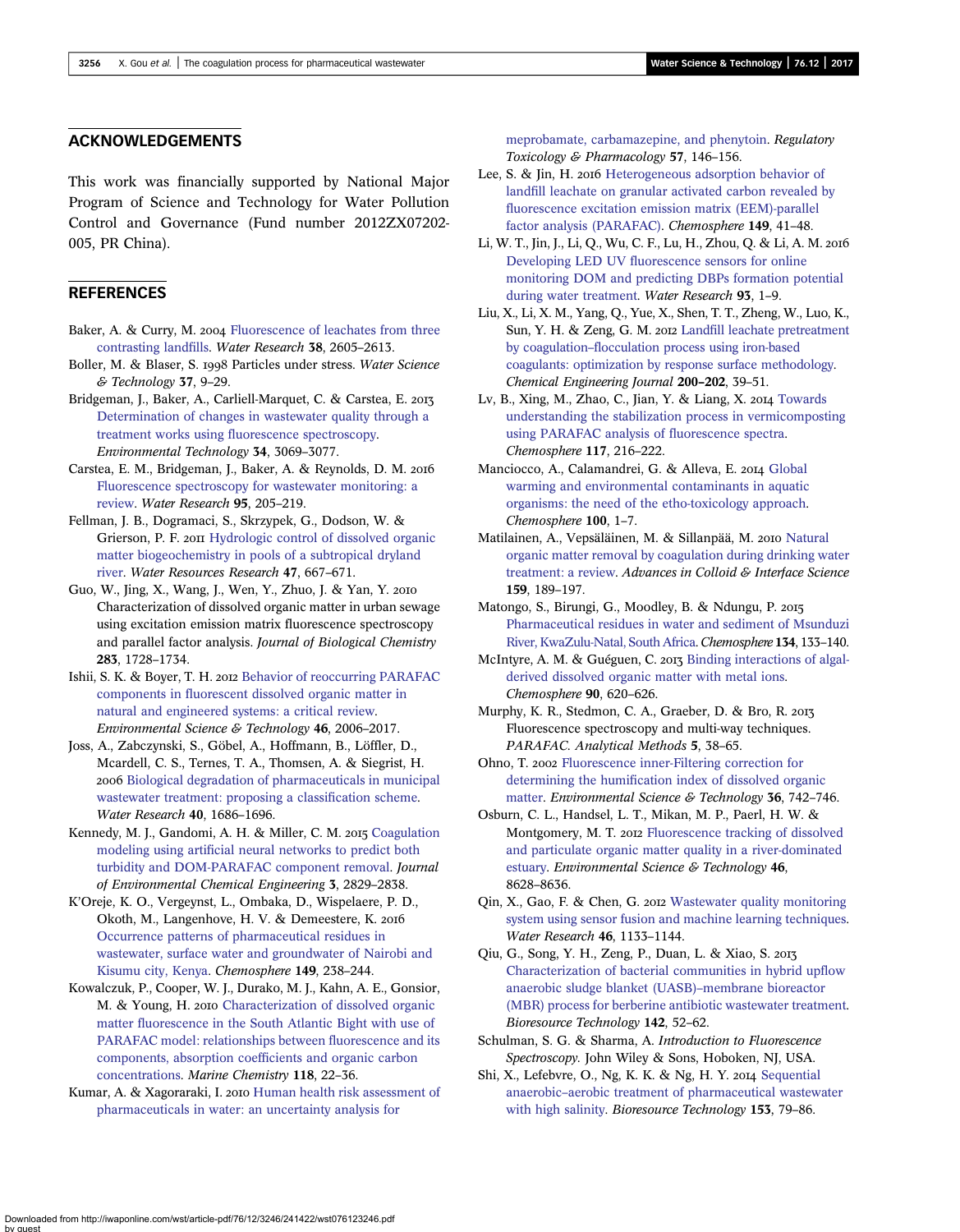### <span id="page-10-0"></span>ACKNOWLEDGEMENTS

This work was financially supported by National Major Program of Science and Technology for Water Pollution Control and Governance (Fund number 2012ZX07202- 005, PR China).

### **REFERENCES**

- Baker, A. & Curry, M. 2004 [Fluorescence of leachates from three](http://dx.doi.org/10.1016/j.watres.2004.02.027) [contrasting land](http://dx.doi.org/10.1016/j.watres.2004.02.027)fills. Water Research 38, 2605–2613.
- Boller, M. & Blaser, S. 1998 Particles under stress. Water Science & Technology 37, 9–29.
- Bridgeman, J., Baker, A., Carliell-Marquet, C. & Carstea, E. 2013 [Determination of changes in wastewater quality through a](http://dx.doi.org/10.1080/09593330.2013.803131) treatment works using fl[uorescence spectroscopy.](http://dx.doi.org/10.1080/09593330.2013.803131) Environmental Technology 34, 3069–3077.
- Carstea, E. M., Bridgeman, J., Baker, A. & Reynolds, D. M. [Fluorescence spectroscopy for wastewater monitoring: a](http://dx.doi.org/10.1016/j.watres.2016.03.021) [review](http://dx.doi.org/10.1016/j.watres.2016.03.021). Water Research 95, 205–219.
- Fellman, J. B., Dogramaci, S., Skrzypek, G., Dodson, W. & Grierson, P. F. 2011 [Hydrologic control of dissolved organic](http://dx.doi.org/10.1029/2010WR010275) [matter biogeochemistry in pools of a subtropical dryland](http://dx.doi.org/10.1029/2010WR010275) [river](http://dx.doi.org/10.1029/2010WR010275). Water Resources Research 47, 667–671.
- Guo, W., Jing, X., Wang, J., Wen, Y., Zhuo, J. & Yan, Y. Characterization of dissolved organic matter in urban sewage using excitation emission matrix fluorescence spectroscopy and parallel factor analysis. Journal of Biological Chemistry 283, 1728–1734.
- Ishii, S. K. & Boyer, T. H. 2012 [Behavior of reoccurring PARAFAC](http://dx.doi.org/10.1021/es2043504) components in fl[uorescent dissolved organic matter in](http://dx.doi.org/10.1021/es2043504) [natural and engineered systems: a critical review.](http://dx.doi.org/10.1021/es2043504) Environmental Science & Technology 46, 2006–2017.
- Joss, A., Zabczynski, S., Göbel, A., Hoffmann, B., Löffler, D., Mcardell, C. S., Ternes, T. A., Thomsen, A. & Siegrist, H. 2006 [Biological degradation of pharmaceuticals in municipal](http://dx.doi.org/10.1016/j.watres.2006.02.014) [wastewater treatment: proposing a classi](http://dx.doi.org/10.1016/j.watres.2006.02.014)fication scheme. Water Research 40, 1686–1696.
- Kennedy, M. J., Gandomi, A. H. & Miller, C. M. 2015 [Coagulation](http://dx.doi.org/10.1016/j.jece.2015.10.010) modeling using artifi[cial neural networks to predict both](http://dx.doi.org/10.1016/j.jece.2015.10.010) [turbidity and DOM-PARAFAC component removal.](http://dx.doi.org/10.1016/j.jece.2015.10.010) Journal of Environmental Chemical Engineering 3, 2829–2838.
- K'Oreje, K. O., Vergeynst, L., Ombaka, D., Wispelaere, P. D., Okoth, M., Langenhove, H. V. & Demeestere, K. [Occurrence patterns of pharmaceutical residues in](http://dx.doi.org/10.1016/j.chemosphere.2016.01.095) [wastewater, surface water and groundwater of Nairobi and](http://dx.doi.org/10.1016/j.chemosphere.2016.01.095) [Kisumu city, Kenya](http://dx.doi.org/10.1016/j.chemosphere.2016.01.095). Chemosphere 149, 238–244.
- Kowalczuk, P., Cooper, W. J., Durako, M. J., Kahn, A. E., Gonsior, M. & Young, H. 2010 [Characterization of dissolved organic](http://dx.doi.org/10.1016/j.marchem.2009.10.002) matter fl[uorescence in the South Atlantic Bight with use of](http://dx.doi.org/10.1016/j.marchem.2009.10.002) [PARAFAC model: relationships between](http://dx.doi.org/10.1016/j.marchem.2009.10.002) fluorescence and its [components, absorption coef](http://dx.doi.org/10.1016/j.marchem.2009.10.002)ficients and organic carbon [concentrations.](http://dx.doi.org/10.1016/j.marchem.2009.10.002) Marine Chemistry 118, 22–36.
- Kumar, A. & Xagoraraki, I. 2010 [Human health risk assessment of](http://dx.doi.org/10.1016/j.yrtph.2010.02.002) [pharmaceuticals in water: an uncertainty analysis for](http://dx.doi.org/10.1016/j.yrtph.2010.02.002)

[meprobamate, carbamazepine, and phenytoin](http://dx.doi.org/10.1016/j.yrtph.2010.02.002). Regulatory Toxicology & Pharmacology 57, 146–156.

- Lee, S. & Jin, H. 2016 [Heterogeneous adsorption behavior of](http://dx.doi.org/10.1016/j.chemosphere.2016.01.081) landfi[ll leachate on granular activated carbon revealed by](http://dx.doi.org/10.1016/j.chemosphere.2016.01.081) fl[uorescence excitation emission matrix \(EEM\)-parallel](http://dx.doi.org/10.1016/j.chemosphere.2016.01.081) [factor analysis \(PARAFAC\).](http://dx.doi.org/10.1016/j.chemosphere.2016.01.081) Chemosphere 149, 41–48.
- Li, W. T., Jin, J., Li, Q., Wu, C. F., Lu, H., Zhou, Q. & Li, A. M. Developing LED UV fl[uorescence sensors for online](http://dx.doi.org/10.1016/j.watres.2016.01.005) [monitoring DOM and predicting DBPs formation potential](http://dx.doi.org/10.1016/j.watres.2016.01.005) [during water treatment.](http://dx.doi.org/10.1016/j.watres.2016.01.005) Water Research 93, 1–9.
- Liu, X., Li, X. M., Yang, Q., Yue, X., Shen, T. T., Zheng, W., Luo, K., Sun, Y. H. & Zeng, G. M. 2012 Landfi[ll leachate pretreatment](http://dx.doi.org/10.1016/j.cej.2012.06.012) by coagulation–fl[occulation process using iron-based](http://dx.doi.org/10.1016/j.cej.2012.06.012) [coagulants: optimization by response surface methodology](http://dx.doi.org/10.1016/j.cej.2012.06.012). Chemical Engineering Journal 200–202, 39–51.
- Lv, B., Xing, M., Zhao, C., Jian, Y. & Liang, X. 2014 [Towards](http://dx.doi.org/10.1016/j.chemosphere.2014.06.089) [understanding the stabilization process in vermicomposting](http://dx.doi.org/10.1016/j.chemosphere.2014.06.089) [using PARAFAC analysis of](http://dx.doi.org/10.1016/j.chemosphere.2014.06.089) fluorescence spectra. Chemosphere 117, 216–222.
- Manciocco, A., Calamandrei, G. & Alleva, E. 2014 [Global](http://dx.doi.org/10.1016/j.chemosphere.2013.12.072) [warming and environmental contaminants in aquatic](http://dx.doi.org/10.1016/j.chemosphere.2013.12.072) [organisms: the need of the etho-toxicology approach.](http://dx.doi.org/10.1016/j.chemosphere.2013.12.072) Chemosphere 100, 1–7.
- Matilainen, A., Vepsäläinen, M. & Sillanpää, M. 2010 [Natural](http://dx.doi.org/10.1016/j.cis.2010.06.007) [organic matter removal by coagulation during drinking water](http://dx.doi.org/10.1016/j.cis.2010.06.007) [treatment: a review.](http://dx.doi.org/10.1016/j.cis.2010.06.007) Advances in Colloid & Interface Science 159, 189–197.
- Matongo, S., Birungi, G., Moodley, B. & Ndungu, P. [Pharmaceutical residues in water and sediment of Msunduzi](http://dx.doi.org/10.1016/j.chemosphere.2015.03.093) [River, KwaZulu-Natal, South Africa.](http://dx.doi.org/10.1016/j.chemosphere.2015.03.093) Chemosphere 134, 133–140.
- McIntyre, A. M. & Guéguen, C. 2013 [Binding interactions of algal](http://dx.doi.org/10.1016/j.chemosphere.2012.08.057)[derived dissolved organic matter with metal ions](http://dx.doi.org/10.1016/j.chemosphere.2012.08.057). Chemosphere 90, 620–626.
- Murphy, K. R., Stedmon, C. A., Graeber, D. & Bro, R. Fluorescence spectroscopy and multi-way techniques. PARAFAC. Analytical Methods 5, 38–65.
- Ohno, T. 2002 [Fluorescence inner-Filtering correction for](http://dx.doi.org/10.1021/es0155276) determining the humifi[cation index of dissolved organic](http://dx.doi.org/10.1021/es0155276) [matter.](http://dx.doi.org/10.1021/es0155276) Environmental Science & Technology 36, 742-746.
- Osburn, C. L., Handsel, L. T., Mikan, M. P., Paerl, H. W. & Montgomery, M. T. 2012 [Fluorescence tracking of dissolved](http://dx.doi.org/10.1021/es3007723) [and particulate organic matter quality in a river-dominated](http://dx.doi.org/10.1021/es3007723) [estuary](http://dx.doi.org/10.1021/es3007723). Environmental Science & Technology 46, 8628–8636.
- Qin, X., Gao, F. & Chen, G. 2012 [Wastewater quality monitoring](http://dx.doi.org/10.1016/j.watres.2011.12.005) [system using sensor fusion and machine learning techniques](http://dx.doi.org/10.1016/j.watres.2011.12.005). Water Research 46, 1133–1144.
- Qiu, G., Song, Y. H., Zeng, P., Duan, L. & Xiao, S. [Characterization of bacterial communities in hybrid up](http://dx.doi.org/10.1016/j.biortech.2013.04.077)flow [anaerobic sludge blanket \(UASB\)](http://dx.doi.org/10.1016/j.biortech.2013.04.077)–membrane bioreactor [\(MBR\) process for berberine antibiotic wastewater treatment](http://dx.doi.org/10.1016/j.biortech.2013.04.077). Bioresource Technology 142, 52–62.
- Schulman, S. G. & Sharma, A. Introduction to Fluorescence Spectroscopy. John Wiley & Sons, Hoboken, NJ, USA.
- Shi, X., Lefebvre, O., Ng, K. K. & Ng, H. Y. 2014 [Sequential](http://dx.doi.org/10.1016/j.biortech.2013.11.045) anaerobic–[aerobic treatment of pharmaceutical wastewater](http://dx.doi.org/10.1016/j.biortech.2013.11.045) [with high salinity](http://dx.doi.org/10.1016/j.biortech.2013.11.045). Bioresource Technology 153, 79-86.